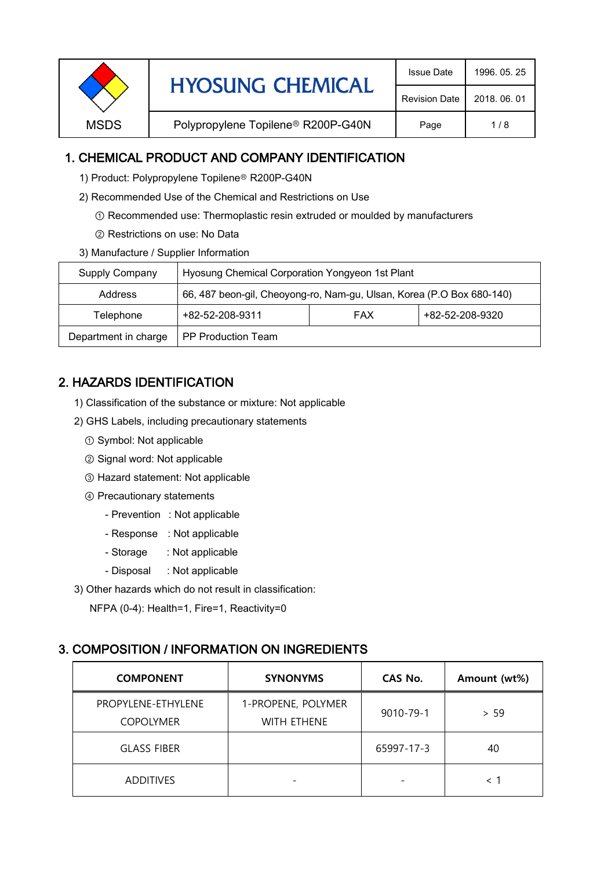| <b>HYOSUNG CHEMICAL</b> | <b>Issue Date</b>                              | 1996, 05, 25         |              |
|-------------------------|------------------------------------------------|----------------------|--------------|
|                         |                                                | <b>Revision Date</b> | 2018, 06, 01 |
| <b>MSDS</b>             | Polypropylene Topilene <sup>®</sup> R200P-G40N | Page                 | 1/8          |

## 1. CHEMICAL PRODUCT AND COMPANY IDENTIFICATION

- 1) Product: Polypropylene Topilene<sup>®</sup> R200P-G40N
- 2) Recommended Use of the Chemical and Restrictions on Use
	- ① Recommended use: Thermoplastic resin extruded or moulded by manufacturers
	- ② Restrictions on use: No Data
- 3) Manufacture / Supplier Information

| Supply Company       | Hyosung Chemical Corporation Yongyeon 1st Plant                       |  |  |  |
|----------------------|-----------------------------------------------------------------------|--|--|--|
| Address              | 66, 487 beon-gil, Cheoyong-ro, Nam-gu, Ulsan, Korea (P.O Box 680-140) |  |  |  |
| Telephone            | +82-52-208-9320<br>+82-52-208-9311<br><b>FAX</b>                      |  |  |  |
| Department in charge | <b>PP Production Team</b>                                             |  |  |  |

# 2. HAZARDS IDENTIFICATION

- 1) Classification of the substance or mixture: Not applicable
- 2) GHS Labels, including precautionary statements
	- ① Symbol: Not applicable
	- ② Signal word: Not applicable
	- ③ Hazard statement: Not applicable
	- ④ Precautionary statements
		- Prevention : Not applicable
		- Response : Not applicable
		- Storage : Not applicable
		- Disposal : Not applicable
- 3) Other hazards which do not result in classification:

NFPA (0-4): Health=1, Fire=1, Reactivity=0

## 3. COMPOSITION / INFORMATION ON INGREDIENTS

| <b>COMPONENT</b>                       | <b>SYNONYMS</b>                          | CAS No.    | Amount (wt%)             |
|----------------------------------------|------------------------------------------|------------|--------------------------|
| PROPYLENE-ETHYLENE<br><b>COPOLYMER</b> | 1-PROPENE, POLYMER<br><b>WITH ETHENE</b> | 9010-79-1  | > 59                     |
| <b>GLASS FIBER</b>                     |                                          | 65997-17-3 | 40                       |
| <b>ADDITIVES</b>                       |                                          |            | $\overline{\phantom{a}}$ |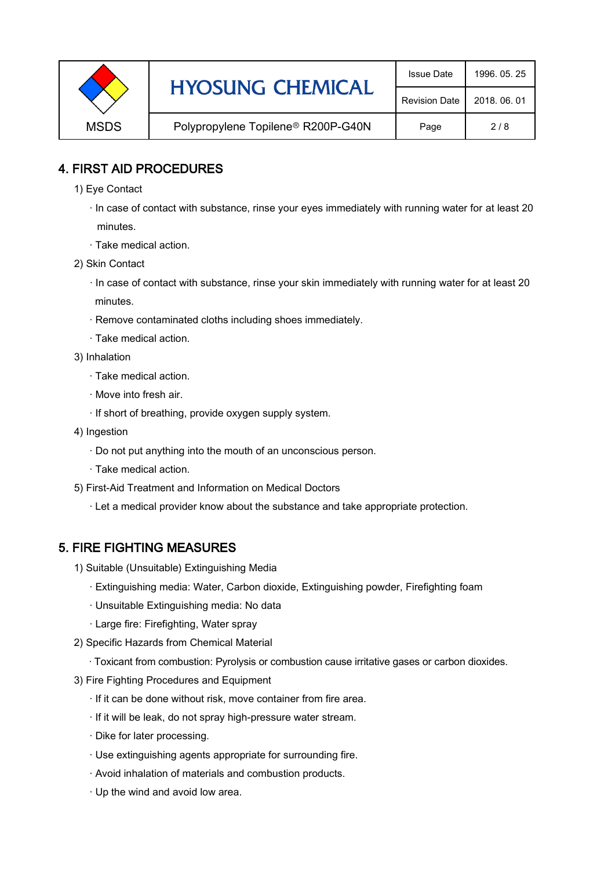|             | <b>HYOSUNG CHEMICAL</b>                        | <b>Issue Date</b>    | 1996, 05, 25 |
|-------------|------------------------------------------------|----------------------|--------------|
|             |                                                | <b>Revision Date</b> | 2018, 06, 01 |
| <b>MSDS</b> | Polypropylene Topilene <sup>®</sup> R200P-G40N | Page                 | 2/8          |

#### 4. FIRST AID PROCEDURES

- 1) Eye Contact
	- · In case of contact with substance, rinse your eyes immediately with running water for at least 20 minutes.
	- · Take medical action.
- 2) Skin Contact
	- · In case of contact with substance, rinse your skin immediately with running water for at least 20 minutes.
	- · Remove contaminated cloths including shoes immediately.
	- · Take medical action.
- 3) Inhalation
	- · Take medical action.
	- · Move into fresh air.
	- · If short of breathing, provide oxygen supply system.
- 4) Ingestion
	- · Do not put anything into the mouth of an unconscious person.
	- · Take medical action.
- 5) First-Aid Treatment and Information on Medical Doctors
	- · Let a medical provider know about the substance and take appropriate protection.

#### 5. FIRE FIGHTING MEASURES

- 1) Suitable (Unsuitable) Extinguishing Media
	- · Extinguishing media: Water, Carbon dioxide, Extinguishing powder, Firefighting foam
	- · Unsuitable Extinguishing media: No data
	- · Large fire: Firefighting, Water spray
- 2) Specific Hazards from Chemical Material
	- · Toxicant from combustion: Pyrolysis or combustion cause irritative gases or carbon dioxides.
- 3) Fire Fighting Procedures and Equipment
	- · If it can be done without risk, move container from fire area.
	- · If it will be leak, do not spray high-pressure water stream.
	- · Dike for later processing.
	- · Use extinguishing agents appropriate for surrounding fire.
	- · Avoid inhalation of materials and combustion products.
	- · Up the wind and avoid low area.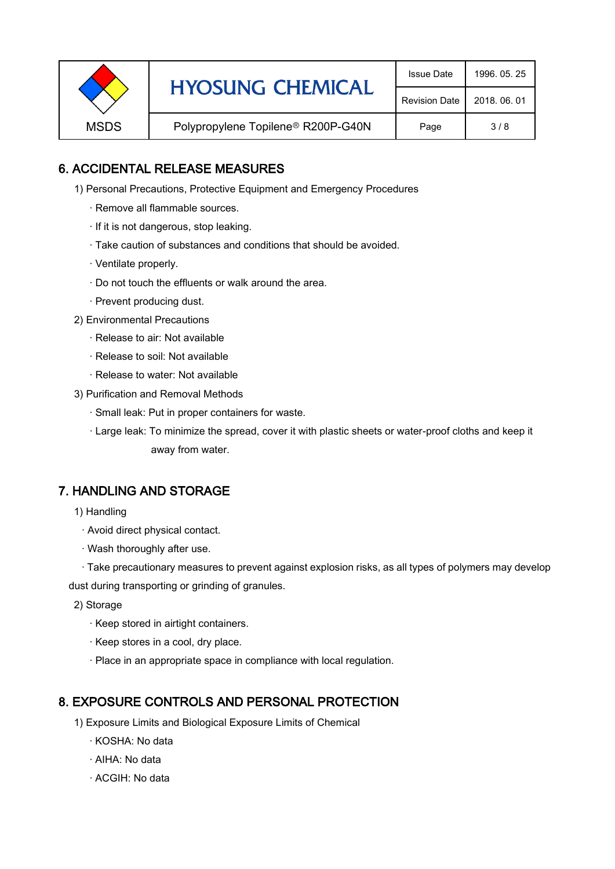| <b>HYOSUNG CHEMICAL</b> | <b>Issue Date</b>                              | 1996, 05, 25 |     |
|-------------------------|------------------------------------------------|--------------|-----|
|                         | <b>Revision Date</b>                           | 2018, 06, 01 |     |
| <b>MSDS</b>             | Polypropylene Topilene <sup>®</sup> R200P-G40N | Page         | 3/8 |

## 6. ACCIDENTAL RELEASE MEASURES

- 1) Personal Precautions, Protective Equipment and Emergency Procedures
	- · Remove all flammable sources.
	- · If it is not dangerous, stop leaking.
	- · Take caution of substances and conditions that should be avoided.
	- · Ventilate properly.
	- · Do not touch the effluents or walk around the area.
	- · Prevent producing dust.
- 2) Environmental Precautions
	- · Release to air: Not available
	- · Release to soil: Not available
	- · Release to water: Not available
- 3) Purification and Removal Methods
	- · Small leak: Put in proper containers for waste.
	- ,· Large leak: To minimize the spread, cover it with plastic sheets or water-proof cloths and keep it away from water.

#### 7. HANDLING AND STORAGE

- 1) Handling
	- · Avoid direct physical contact.
	- · Wash thoroughly after use.

· Take precautionary measures to prevent against explosion risks, as all types of polymers may develop dust during transporting or grinding of granules.

- 2) Storage
	- · Keep stored in airtight containers.
	- · Keep stores in a cool, dry place.
	- · Place in an appropriate space in compliance with local regulation.

#### 8. EXPOSURE CONTROLS AND PERSONAL PROTECTION

- 1) Exposure Limits and Biological Exposure Limits of Chemical
	- · KOSHA: No data
	- · AIHA: No data
	- · ACGIH: No data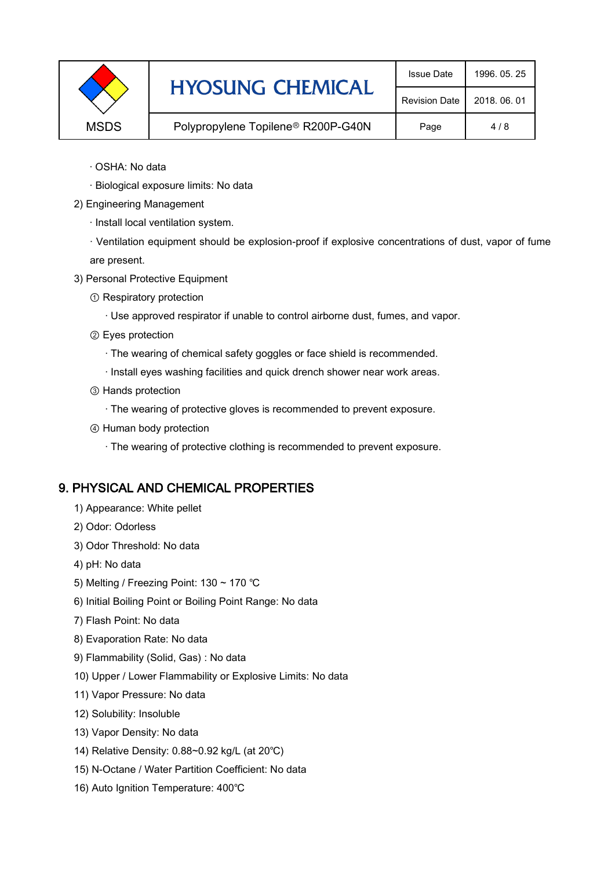| <b>HYOSUNG CHEMICAL</b>                           | <b>Issue Date</b> | 1996, 05, 25         |              |
|---------------------------------------------------|-------------------|----------------------|--------------|
|                                                   |                   | <b>Revision Date</b> | 2018, 06, 01 |
| <b>MSDS</b><br>Polypropylene Topilene® R200P-G40N |                   | Page                 | 4/8          |

- · OSHA: No data
- · Biological exposure limits: No data
- 2) Engineering Management
	- · Install local ventilation system.

· Ventilation equipment should be explosion-proof if explosive concentrations of dust, vapor of fume are present.

- 3) Personal Protective Equipment
	- ① Respiratory protection
		- · Use approved respirator if unable to control airborne dust, fumes, and vapor.
	- ② Eyes protection
		- · The wearing of chemical safety goggles or face shield is recommended.
		- · Install eyes washing facilities and quick drench shower near work areas.
	- ③ Hands protection
		- · The wearing of protective gloves is recommended to prevent exposure.
	- ④ Human body protection
		- · The wearing of protective clothing is recommended to prevent exposure.

## 9. PHYSICAL AND CHEMICAL PROPERTIES

- 1) Appearance: White pellet
- 2) Odor: Odorless
- 3) Odor Threshold: No data
- 4) pH: No data
- 5) Melting / Freezing Point: 130 ~ 170 ℃
- 6) Initial Boiling Point or Boiling Point Range: No data
- 7) Flash Point: No data
- 8) Evaporation Rate: No data
- 9) Flammability (Solid, Gas) : No data
- 10) Upper / Lower Flammability or Explosive Limits: No data
- 11) Vapor Pressure: No data
- 12) Solubility: Insoluble
- 13) Vapor Density: No data
- 14) Relative Density: 0.88~0.92 kg/L (at 20℃)
- 15) N-Octane / Water Partition Coefficient: No data
- 16) Auto Ignition Temperature: 400℃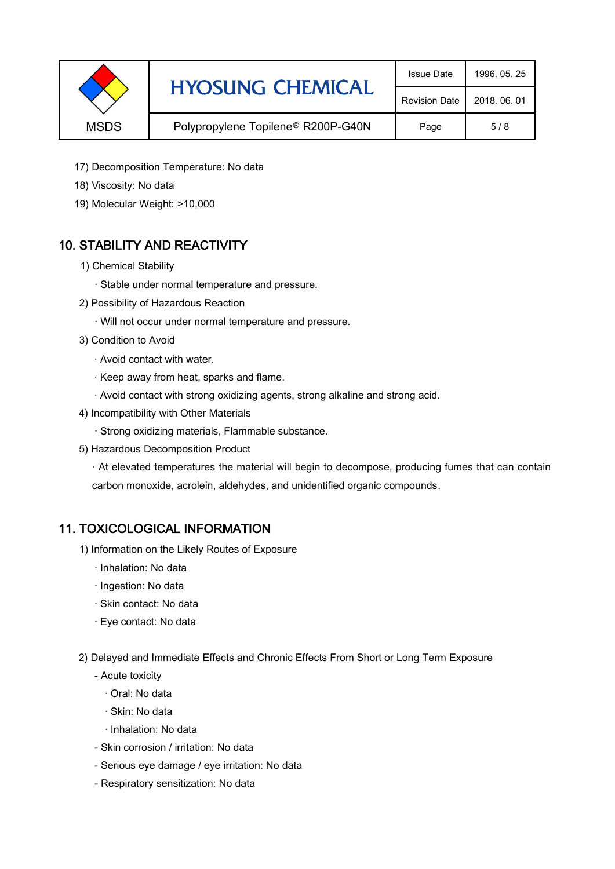| <b>HYOSUNG CHEMICAL</b><br><b>MSDS</b><br>Polypropylene Topilene <sup>®</sup> R200P-G40N |                      | <b>Issue Date</b> | 1996, 05, 25 |
|------------------------------------------------------------------------------------------|----------------------|-------------------|--------------|
|                                                                                          | <b>Revision Date</b> | 2018, 06, 01      |              |
|                                                                                          |                      | Page              | 5/8          |

- 17) Decomposition Temperature: No data
- 18) Viscosity: No data
- 19) Molecular Weight: >10,000

# 10. STABILITY AND REACTIVITY

- 1) Chemical Stability
	- · Stable under normal temperature and pressure.
- 2) Possibility of Hazardous Reaction
	- · Will not occur under normal temperature and pressure.
- 3) Condition to Avoid
	- · Avoid contact with water.
	- · Keep away from heat, sparks and flame.
	- · Avoid contact with strong oxidizing agents, strong alkaline and strong acid.
- 4) Incompatibility with Other Materials
	- · Strong oxidizing materials, Flammable substance.
- 5) Hazardous Decomposition Product

· At elevated temperatures the material will begin to decompose, producing fumes that can contain carbon monoxide, acrolein, aldehydes, and unidentified organic compounds.

#### 11. TOXICOLOGICAL INFORMATION

- 1) Information on the Likely Routes of Exposure
	- · Inhalation: No data
	- · Ingestion: No data
	- · Skin contact: No data
	- · Eye contact: No data
- 2) Delayed and Immediate Effects and Chronic Effects From Short or Long Term Exposure
	- Acute toxicity
		- · Oral: No data
		- · Skin: No data
		- · Inhalation: No data
	- Skin corrosion / irritation: No data
	- Serious eye damage / eye irritation: No data
	- Respiratory sensitization: No data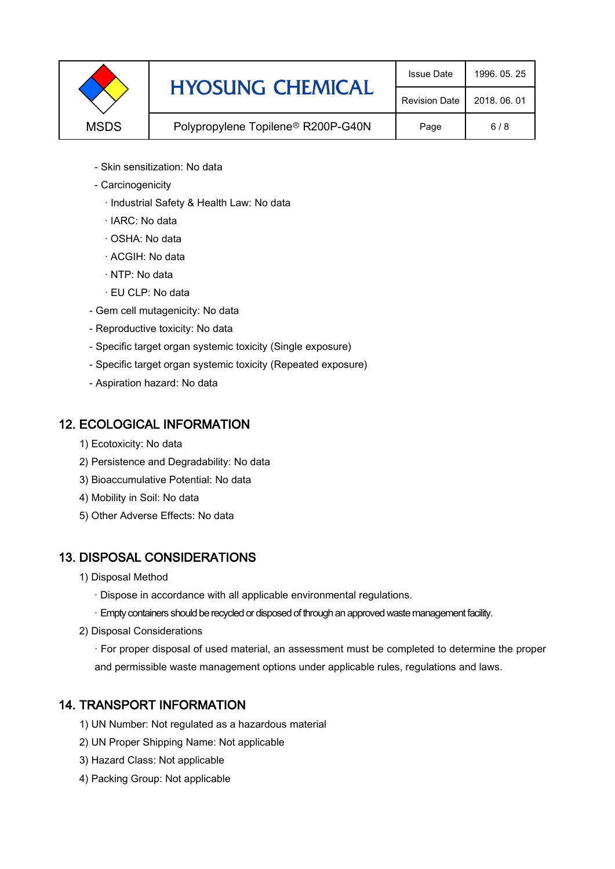|             | <b>HYOSUNG CHEMICAL</b>                        | <b>Issue Date</b>    | 1996, 05, 25 |
|-------------|------------------------------------------------|----------------------|--------------|
|             |                                                | <b>Revision Date</b> | 2018, 06, 01 |
| <b>MSDS</b> | Polypropylene Topilene <sup>®</sup> R200P-G40N | Page                 | 6/8          |

- Skin sensitization: No data
- Carcinogenicity
	- · Industrial Safety & Health Law: No data
	- · IARC: No data
	- · OSHA: No data
	- · ACGIH: No data
	- · NTP: No data
	- · EU CLP: No data
- Gem cell mutagenicity: No data
- Reproductive toxicity: No data
- Specific target organ systemic toxicity (Single exposure)
- Specific target organ systemic toxicity (Repeated exposure)
- Aspiration hazard: No data

#### 12. ECOLOGICAL INFORMATION

- 1) Ecotoxicity: No data
- 2) Persistence and Degradability: No data
- 3) Bioaccumulative Potential: No data
- 4) Mobility in Soil: No data
- 5) Other Adverse Effects: No data

## 13. DISPOSAL CONSIDERATIONS

- 1) Disposal Method
	- · Dispose in accordance with all applicable environmental regulations.
	- · Empty containers should be recycled or disposed of through an approved waste management facility.
- 2) Disposal Considerations
	- · For proper disposal of used material, an assessment must be completed to determine the proper and permissible waste management options under applicable rules, regulations and laws.

## 14. TRANSPORT INFORMATION

- 1) UN Number: Not regulated as a hazardous material
- 2) UN Proper Shipping Name: Not applicable
- 3) Hazard Class: Not applicable
- 4) Packing Group: Not applicable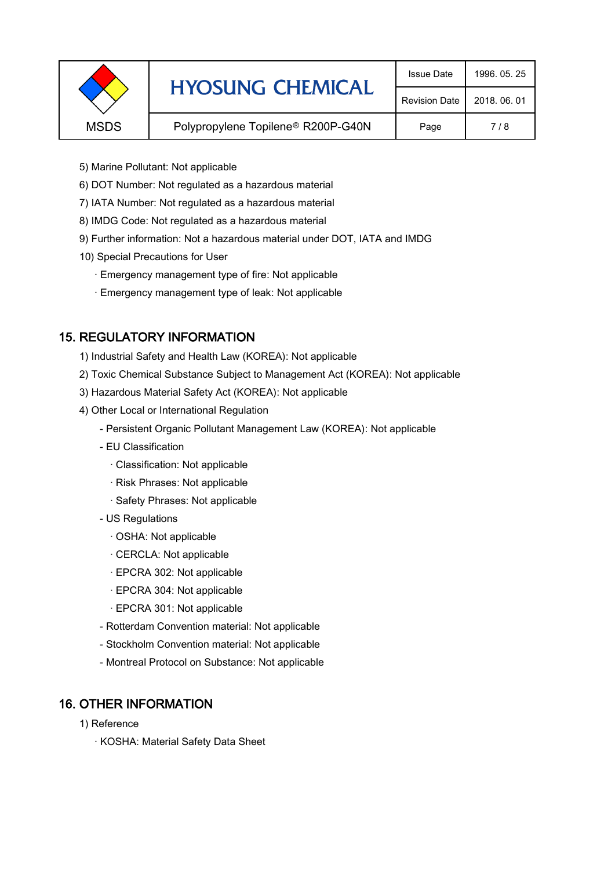|             | <b>HYOSUNG CHEMICAL</b>                        | <b>Issue Date</b>    | 1996, 05, 25 |
|-------------|------------------------------------------------|----------------------|--------------|
|             |                                                | <b>Revision Date</b> | 2018, 06, 01 |
| <b>MSDS</b> | Polypropylene Topilene <sup>®</sup> R200P-G40N | Page                 | 7/8          |
|             |                                                |                      |              |

- 5) Marine Pollutant: Not applicable
- 6) DOT Number: Not regulated as a hazardous material
- 7) IATA Number: Not regulated as a hazardous material
- 8) IMDG Code: Not regulated as a hazardous material
- 9) Further information: Not a hazardous material under DOT, IATA and IMDG
- 10) Special Precautions for User
	- · Emergency management type of fire: Not applicable
	- · Emergency management type of leak: Not applicable

## 15. REGULATORY INFORMATION

- 1) Industrial Safety and Health Law (KOREA): Not applicable
- 2) Toxic Chemical Substance Subject to Management Act (KOREA): Not applicable
- 3) Hazardous Material Safety Act (KOREA): Not applicable
- 4) Other Local or International Regulation
	- Persistent Organic Pollutant Management Law (KOREA): Not applicable
	- EU Classification
		- · Classification: Not applicable
		- · Risk Phrases: Not applicable
		- · Safety Phrases: Not applicable
	- US Regulations
		- · OSHA: Not applicable
		- · CERCLA: Not applicable
		- · EPCRA 302: Not applicable
		- · EPCRA 304: Not applicable
		- · EPCRA 301: Not applicable
	- Rotterdam Convention material: Not applicable
	- Stockholm Convention material: Not applicable
	- Montreal Protocol on Substance: Not applicable

## 16. OTHER INFORMATION

- 1) Reference
	- · KOSHA: Material Safety Data Sheet